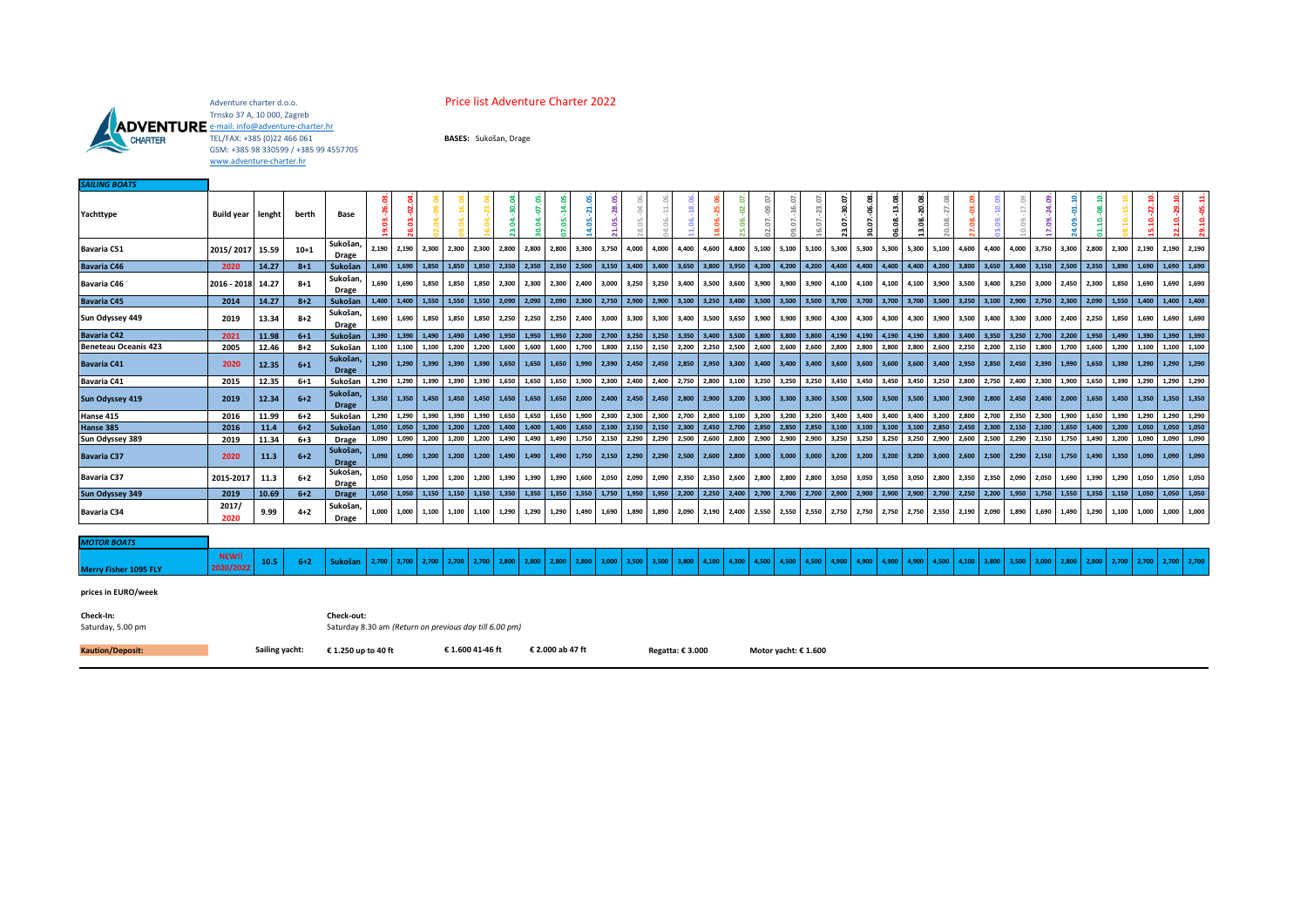

## Adventure charter d.o.o. **Price list Adventure Charter 2022**

Trnsko 37 A, 10 000, Zagreb<br><u>[e-mail: info@adventure-charter.hr](mailto:charter.adventure@gmail.com)</u><br>TEL/FAX: +385 (0)22 466 061 GSM: +385 98 330599 / +385 99 4557705 [www.adventure-charter.hr](http://www.adventure-charter.hr/)

| <b>SAILING BOATS</b>         |                   |                                                        |          |                          |               |             |                   |                  |                   |             |                 |                      |       |                     |                   |                  |                   |       |                      |        |            |               |        |                         |            |                   |               |                         |       |       |                         |            |       |             |             |             |               |
|------------------------------|-------------------|--------------------------------------------------------|----------|--------------------------|---------------|-------------|-------------------|------------------|-------------------|-------------|-----------------|----------------------|-------|---------------------|-------------------|------------------|-------------------|-------|----------------------|--------|------------|---------------|--------|-------------------------|------------|-------------------|---------------|-------------------------|-------|-------|-------------------------|------------|-------|-------------|-------------|-------------|---------------|
| Yachttype                    | Build year lenght |                                                        | berth    | Base                     | $-26.03$<br>g | පූ          |                   |                  |                   |             | -07.0<br>ई<br>ö | $-14.0!$<br><b>S</b> |       | $-28.0$<br>$1.05$ . |                   |                  | 38.0<br>°         |       |                      | ä<br>c | 16.07<br>5 | 23.07<br>G)   | ö<br>ε | -06.08<br>30.07.        | 13.08<br>g | $-20.08$          | 27.<br>8<br>Ó | g<br>ã                  |       |       |                         | 01.10<br>g | g     |             | 22.1<br>g   |             |               |
| <b>Bavaria C51</b>           | 2015/2017 15.59   |                                                        | $10 + 1$ | Sukošan<br>Drage         |               | 2,190 2,190 | 2,300             | 2,300            | 2,300             | 2,800       | 2,800           | 2,800                | 3,300 | 3,750               | 4,000             | 4,000            | 4,400             | 4,600 | 4,800                | 5,100  | 5,100      | 5,100         | 5,300  | 5,300                   | 5,300      | 5,300             | 5,100         | 4,600                   | 4,400 | 4,000 | 3,750                   | 3,300      | 2,800 |             | 2,300 2,190 | 2,190       | 2,190         |
| <b>Bavaria C46</b>           | 2020              | 14.27                                                  | $8 + 1$  | Sukošan                  |               | 1,690 1,690 | 1,850             | 1,850            | 1,850             | 2,350       | 2,350           | 2,350                | 2,500 | 3,150               | 3,400             | 3,400            | 3,650             | 3,800 | 3,950                | 4,200  | 4,200      | 4,200         | 4,400  | 4,400                   | 4,400      | 4,400             | 4,200         | 3,800                   | 3,650 | 3,400 | 3,150                   | 2,500      | 2,350 |             | 1,890 1,690 | 1,690       | 1,690         |
| <b>Bavaria C46</b>           | 2016 - 2018 14.27 |                                                        | $8 + 1$  | Sukošan,<br>Drage        | 1.690         | 1.690       | 1.850             | 1,850            | 1.850             | 2.300       | 2.300           | 2,300                | 2,400 | 3,000               | 3,250             | 3,250            | 3,400             | 3,500 | 3,600                | 3,900  | 3,900      | 3,900         | 4,100  | 4,100                   | 4,100      | 4.100             | 3,900         | 3,500                   | 3,400 | 3,250 | 3,000                   | 2,450      | 2,300 | 1,850       | 1,690       | 1,690       | 1,690         |
| <b>Bavaria C45</b>           | 2014              | 14.27                                                  | $8 + 2$  | Sukošan                  |               | 1,400 1,400 | 1,550             | 1,550            | 1,550             | 2,090       |                 | 2,090 2,090          | 2,300 |                     | 2,750 2,900 2,900 |                  | 3,100             | 3,250 | 3,400 3,500          |        | 3,500      | 3,500         |        | 3,700 3,700 3,700       |            | 3,700             |               | 3,500 3,250             | 3,100 |       | 2,900 2,750 2,300       |            | 2,090 |             | 1,550 1,400 | 1,400 1,400 |               |
| Sun Odyssey 449              | 2019              | 13.34                                                  | $8 + 2$  | Sukošan,<br><b>Drage</b> | 1,690         | 1.690       | 1,850             | 1,850            | 1,850             | 2,250       | 2,250           | 2,250                | 2,400 | 3,000               | 3,300             | 3,300            | 3,400             | 3,500 | 3,650                | 3,900  | 3,900      | 3,900         | 4,300  | 4,300                   | 4,300      | 4.300             | 3,900         | 3,500                   | 3,400 | 3,300 | 3,000                   | 2,400      | 2,250 |             | 1,850 1,690 | 1,690       | 1,690         |
| <b>Bavaria C42</b>           | 2021              | 11.98                                                  | $6+1$    | Sukošan                  |               |             | 1,390 1,390 1,490 |                  | 1,490 1,490 1,950 |             |                 | 1,950 1,950          | 2,200 |                     | 2,700 3,250 3,250 |                  | 3,350             |       | 3,400 3,500 3,800    |        | 3,800      | 3,800         | 4,190  | 4,190 4,190             |            |                   |               | 4,190 3,800 3,400 3,350 |       |       | 3,250 2,700 2,200 1,950 |            |       | 1,490 1,390 |             | 1,390 1,390 |               |
| <b>Beneteau Oceanis 423</b>  | 2005              | 12.46                                                  | $8 + 2$  | Sukošan                  |               | 1,100 1,100 | 1,100             | 1,200            | 1,200             | 1,600       | 1,600           | 1,600                | 1,700 | 1,800               |                   | 2,150 2,150      | 2,200             | 2,250 | 2,500                | 2,600  | 2,600      | 2,600         | 2,800  | 2,800                   | 2,800      | 2,800             | 2,600         | 2,250                   | 2,200 | 2,150 | 1,800                   | 1,700      | 1,600 |             | 1,200 1,100 | 1,100 1,100 |               |
| <b>Bavaria C41</b>           | 2020              | 12.35                                                  | $6 + 1$  | Sukošan,<br><b>Drage</b> | 1,290         | 1.290       | 1.390             | 1.390            | 1.390             | 1.650       | 1.650           | 1,650                | 1.990 | 2,390               |                   | 2,450 2,450      | 2,850             |       | 2,950 3,300          | 3,400  | 3,400      | 3,400         |        | 3,600 3,600             | 3,600      | 3,600             |               | 3,400 2,950             | 2,850 |       | 2,450 2,390             | 1.990      | 1,650 |             | 1,390 1,290 | 1,290 1,290 |               |
| <b>Bavaria C41</b>           | 2015              | 12.35                                                  | $6+1$    | Sukošan                  |               | 1,290 1,290 | 1,390             |                  | 1,390 1,390 1,650 |             | 1,650           | 1,650                |       | 1,900 2,300         | 2,400 2,400       |                  | 2,750             |       | 2,800 3,100          | 3,250  | 3,250      | 3,250         | 3,450  | 3,450                   | 3,450      | 3,450 3,250 2,800 |               |                         | 2,750 |       | 2,400 2,300             | 1,900      | 1,650 |             | 1,390 1,290 | 1,290 1,290 |               |
| <b>Sun Odyssey 419</b>       | 2019              | 12.34                                                  | $6+2$    | Sukošan,<br><b>Drage</b> |               | 1,350 1,350 |                   | 1,450 1,450      |                   | 1,450 1,650 | 1,650           | 1,650                |       | $2,000$ $2,400$     |                   |                  | 2,450 2,450 2,800 |       | 2,900 3,200 3,300    |        | 3,300      |               |        | 3,300 3,500 3,500 3,500 |            |                   |               | 3,500 3,300 2,900 2,800 |       |       | 2,450 2,400 2,000       |            | 1,650 |             | 1,450 1,350 |             | 1,350 1,350   |
| Hanse 415                    | 2016              | 11.99                                                  | $6+2$    | Sukošan                  |               | 1,290 1,290 | 1,390             | 1,390            | 1,390             | 1,650       | 1,650           | 1,650                | 1,900 | 2,300               | 2,300             | 2,300            | 2,700             | 2,800 | 3,100                | 3,200  | 3,200      | 3,200         | 3,400  | 3,400                   | 3,400      | 3,400             | 3,200         | 2,800                   | 2,700 | 2,350 | 2,300                   | 1,900      | 1,650 |             | 1,390 1,290 | 1,290       | 1,290         |
| Hanse 385                    | 2016              | 11.4                                                   | $6+2$    | Sukošan                  |               | 1,050 1,050 | 1,200             | 1,200            | 1,200             | 1,400       | 1,400           | 1,400                | 1,650 | 2,100               | 2,150             | 2,150            | 2,300             | 2,450 | 2,700                | 2,850  | 2,850      | 2,850         | 3,100  | 3,100                   | 3,100      | 3,100             | 2,850         | 2,450                   | 2,300 | 2,150 | 2,100                   | 1,650      | 1,400 |             | 1,200 1,050 | 1,050       | 1,050         |
| Sun Odyssey 389              | 2019              | 11.34                                                  | $6 + 3$  | Drage                    |               | 1,090 1,090 | 1,200             | 1,200            | 1,200             | 1,490       | 1,490           | 1,490                | 1,750 | 2,150               | 2,290             | 2,290            | 2,500             |       | 2,600 2,800          | 2,900  | 2,900      | 2,900         | 3,250  | 3,250                   | 3,250      | 3,250             | 2,900         | 2,600                   | 2,500 | 2,290 | 2,150                   | 1,750      | 1,490 |             | 1,200 1,090 | 1,090       | 1,090         |
| <b>Bavaria C37</b>           | 2020              | 11.3                                                   | $6+2$    | Sukošan,<br><b>Drage</b> |               | 1,090 1,090 | 1,200             | 1.200            | 1,200             | 1,490       | 1,490           | 1,490                | 1,750 | 2,150               |                   | 2,290 2,290      | 2,500             |       | 2,600 2,800          | 3,000  | 3,000      | 3,000         | 3,200  | 3,200                   | 3,200      | 3,200             | 3,000         | 2,600                   | 2,500 | 2,290 | 2,150                   | 1,750      | 1,490 |             | 1,350 1,090 |             | 1,090 1,090   |
| <b>Bavaria C37</b>           | 2015-2017         | 11.3                                                   | $6+2$    | Sukošan,<br>Drage        |               | 1.050 1.050 | 1.200             | 1,200            | 1,200             | 1.390       | 1.390           | 1,390                | 1,600 | 2,050               | 2,090             | 2,090            | 2,350             | 2,350 | 2,600                | 2,800  | 2,800      | 2,800         | 3,050  | 3,050                   | 3,050      | 3,050             | 2,800         | 2,350                   | 2,350 | 2,090 | 2,050                   | 1,690      | 1,390 |             | 1,290 1,050 | 1,050 1,050 |               |
| <b>Sun Odyssey 349</b>       | 2019              | 10.69                                                  | $6+2$    | <b>Drage</b>             |               | 1,050 1,050 | 1,150             | 1,150            | 1,150             | 1,350       |                 | 1,350 1,350          |       |                     | 1,550 1,750 1,950 | 1,950            | 2,200             |       | 2,250 2,400 2,700    |        |            | $2,700$ 2,700 | 2,900  | 2,900 2,900             |            | 2,900 2,700 2,250 |               |                         | 2,200 |       | 1,950 1,750 1,550       |            | 1,350 |             | 1,150 1,050 | 1,050 1,050 |               |
| <b>Bavaria C34</b>           | 2017/<br>2020     | 9.99                                                   | $4 + 2$  | Sukošan,<br><b>Drage</b> | 1,000         | 1.000       | 1,100             | 1,100            | 1,100             | 1,290       | 1,290           | 1,290                | 1,490 | 1,690               | 1,890             | 1,890            | 2,090             | 2,190 | 2,400                | 2,550  | 2,550      | 2,550         | 2,750  | 2,750                   | 2,750      | 2,750             | 2,550         | 2,190                   | 2,090 | 1,890 | 1,690                   | 1,490      | 1,290 | 1,100       | 1,000       | 1,000       | 1,000         |
| <b>MOTOR BOATS</b>           |                   |                                                        |          |                          |               |             |                   |                  |                   |             |                 |                      |       |                     |                   |                  |                   |       |                      |        |            |               |        |                         |            |                   |               |                         |       |       |                         |            |       |             |             |             |               |
| <b>Merry Fisher 1095 FLY</b> | NEW!!<br>2020/202 | 10.5                                                   | $6 + 2$  | <b>Sukošan</b>           | 2,700         | 2,700       | 2,700             | 2,700            | 2,700             | 2,800       | 2,800           | 2,800                | 2,800 | 3,000               | 3,500             | 3,500            | 3,800             | 4,100 | 4,300                | 4,500  | 4,500      | 4,500         | 4,900  | 4,900                   | 4,900      | 4.900             | 4,500         | 4,100                   | 3,800 | 3,500 | 3,000                   | 2,800      | 2,800 | 2,700       | 2,700       |             | $2,700$ 2,700 |
| prices in EURO/week          |                   |                                                        |          |                          |               |             |                   |                  |                   |             |                 |                      |       |                     |                   |                  |                   |       |                      |        |            |               |        |                         |            |                   |               |                         |       |       |                         |            |       |             |             |             |               |
| Check-In:                    |                   |                                                        |          | Check-out:               |               |             |                   |                  |                   |             |                 |                      |       |                     |                   |                  |                   |       |                      |        |            |               |        |                         |            |                   |               |                         |       |       |                         |            |       |             |             |             |               |
| Saturday, 5.00 pm            |                   | Saturday 8.30 am (Return on previous day till 6.00 pm) |          |                          |               |             |                   |                  |                   |             |                 |                      |       |                     |                   |                  |                   |       |                      |        |            |               |        |                         |            |                   |               |                         |       |       |                         |            |       |             |             |             |               |
| <b>Kaution/Deposit:</b>      | Sailing yacht:    |                                                        |          | € 1.250 up to 40 ft      |               |             |                   | € 1.600 41-46 ft |                   |             |                 | € 2.000 ab 47 ft     |       |                     |                   | Regatta: € 3.000 |                   |       | Motor yacht: € 1.600 |        |            |               |        |                         |            |                   |               |                         |       |       |                         |            |       |             |             |             |               |